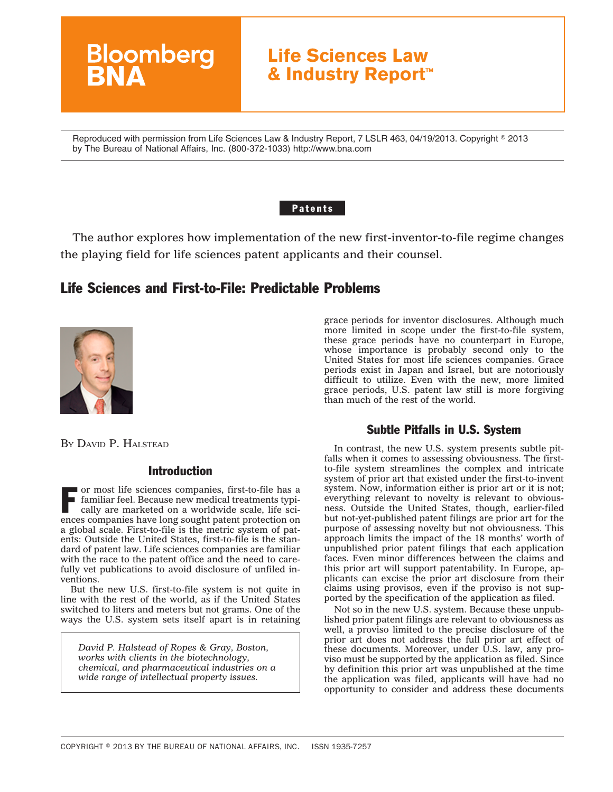# **Life Sciences Law & Industry Report™**

Reproduced with permission from Life Sciences Law & Industry Report, 7 LSLR 463, 04/19/2013. Copyright © 2013 by The Bureau of National Affairs, Inc. (800-372-1033) http://www.bna.com

#### Patents

The author explores how implementation of the new first-inventor-to-file regime changes the playing field for life sciences patent applicants and their counsel.

# Life Sciences and First-to-File: Predictable Problems



BY DAVID P. HALSTEAD

## Introduction

**Bloomberg** 

or most life sciences companies, first-to-file has a familiar feel. Because new medical treatments typically are marketed on a worldwide scale, life sciences companies have long sought patent protection on a global scale. First-to-file is the metric system of patents: Outside the United States, first-to-file is the standard of patent law. Life sciences companies are familiar with the race to the patent office and the need to carefully vet publications to avoid disclosure of unfiled inventions.

But the new U.S. first-to-file system is not quite in line with the rest of the world, as if the United States switched to liters and meters but not grams. One of the ways the U.S. system sets itself apart is in retaining

*David P. Halstead of Ropes & Gray, Boston, works with clients in the biotechnology, chemical, and pharmaceutical industries on a wide range of intellectual property issues.*

grace periods for inventor disclosures. Although much more limited in scope under the first-to-file system, these grace periods have no counterpart in Europe, whose importance is probably second only to the United States for most life sciences companies. Grace periods exist in Japan and Israel, but are notoriously difficult to utilize. Even with the new, more limited grace periods, U.S. patent law still is more forgiving than much of the rest of the world.

#### Subtle Pitfalls in U.S. System

In contrast, the new U.S. system presents subtle pitfalls when it comes to assessing obviousness. The firstto-file system streamlines the complex and intricate system of prior art that existed under the first-to-invent system. Now, information either is prior art or it is not; everything relevant to novelty is relevant to obviousness. Outside the United States, though, earlier-filed but not-yet-published patent filings are prior art for the purpose of assessing novelty but not obviousness. This approach limits the impact of the 18 months' worth of unpublished prior patent filings that each application faces. Even minor differences between the claims and this prior art will support patentability. In Europe, applicants can excise the prior art disclosure from their claims using provisos, even if the proviso is not supported by the specification of the application as filed.

Not so in the new U.S. system. Because these unpublished prior patent filings are relevant to obviousness as well, a proviso limited to the precise disclosure of the prior art does not address the full prior art effect of these documents. Moreover, under U.S. law, any proviso must be supported by the application as filed. Since by definition this prior art was unpublished at the time the application was filed, applicants will have had no opportunity to consider and address these documents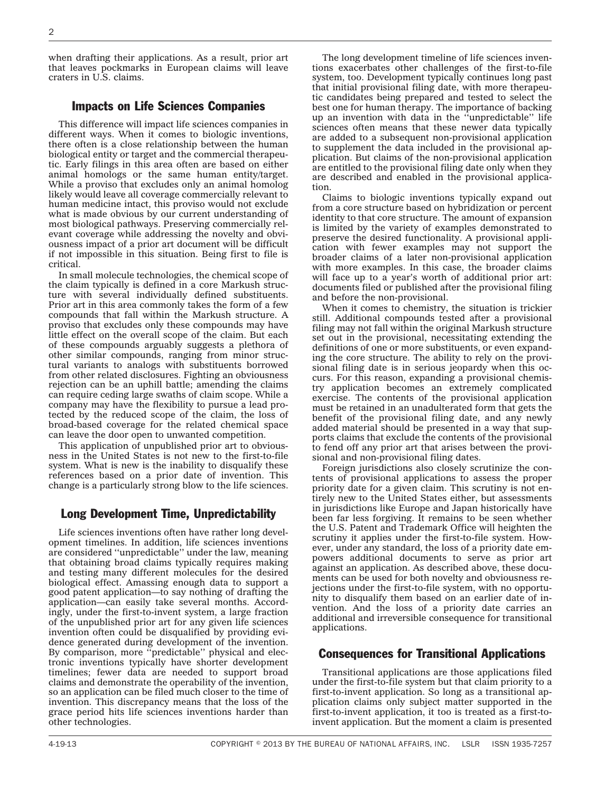when drafting their applications. As a result, prior art that leaves pockmarks in European claims will leave craters in U.S. claims.

## Impacts on Life Sciences Companies

This difference will impact life sciences companies in different ways. When it comes to biologic inventions, there often is a close relationship between the human biological entity or target and the commercial therapeutic. Early filings in this area often are based on either animal homologs or the same human entity/target. While a proviso that excludes only an animal homolog likely would leave all coverage commercially relevant to human medicine intact, this proviso would not exclude what is made obvious by our current understanding of most biological pathways. Preserving commercially relevant coverage while addressing the novelty and obviousness impact of a prior art document will be difficult if not impossible in this situation. Being first to file is critical.

In small molecule technologies, the chemical scope of the claim typically is defined in a core Markush structure with several individually defined substituents. Prior art in this area commonly takes the form of a few compounds that fall within the Markush structure. A proviso that excludes only these compounds may have little effect on the overall scope of the claim. But each of these compounds arguably suggests a plethora of other similar compounds, ranging from minor structural variants to analogs with substituents borrowed from other related disclosures. Fighting an obviousness rejection can be an uphill battle; amending the claims can require ceding large swaths of claim scope. While a company may have the flexibility to pursue a lead protected by the reduced scope of the claim, the loss of broad-based coverage for the related chemical space can leave the door open to unwanted competition.

This application of unpublished prior art to obviousness in the United States is not new to the first-to-file system. What is new is the inability to disqualify these references based on a prior date of invention. This change is a particularly strong blow to the life sciences.

# Long Development Time, Unpredictability

Life sciences inventions often have rather long development timelines. In addition, life sciences inventions are considered ''unpredictable'' under the law, meaning that obtaining broad claims typically requires making and testing many different molecules for the desired biological effect. Amassing enough data to support a good patent application—to say nothing of drafting the application—can easily take several months. Accordingly, under the first-to-invent system, a large fraction of the unpublished prior art for any given life sciences invention often could be disqualified by providing evidence generated during development of the invention. By comparison, more ''predictable'' physical and electronic inventions typically have shorter development timelines; fewer data are needed to support broad claims and demonstrate the operability of the invention, so an application can be filed much closer to the time of invention. This discrepancy means that the loss of the grace period hits life sciences inventions harder than other technologies.

The long development timeline of life sciences inventions exacerbates other challenges of the first-to-file system, too. Development typically continues long past that initial provisional filing date, with more therapeutic candidates being prepared and tested to select the best one for human therapy. The importance of backing up an invention with data in the ''unpredictable'' life sciences often means that these newer data typically are added to a subsequent non-provisional application to supplement the data included in the provisional application. But claims of the non-provisional application are entitled to the provisional filing date only when they are described and enabled in the provisional application.

Claims to biologic inventions typically expand out from a core structure based on hybridization or percent identity to that core structure. The amount of expansion is limited by the variety of examples demonstrated to preserve the desired functionality. A provisional application with fewer examples may not support the broader claims of a later non-provisional application with more examples. In this case, the broader claims will face up to a year's worth of additional prior art: documents filed or published after the provisional filing and before the non-provisional.

When it comes to chemistry, the situation is trickier still. Additional compounds tested after a provisional filing may not fall within the original Markush structure set out in the provisional, necessitating extending the definitions of one or more substituents, or even expanding the core structure. The ability to rely on the provisional filing date is in serious jeopardy when this occurs. For this reason, expanding a provisional chemistry application becomes an extremely complicated exercise. The contents of the provisional application must be retained in an unadulterated form that gets the benefit of the provisional filing date, and any newly added material should be presented in a way that supports claims that exclude the contents of the provisional to fend off any prior art that arises between the provisional and non-provisional filing dates.

Foreign jurisdictions also closely scrutinize the contents of provisional applications to assess the proper priority date for a given claim. This scrutiny is not entirely new to the United States either, but assessments in jurisdictions like Europe and Japan historically have been far less forgiving. It remains to be seen whether the U.S. Patent and Trademark Office will heighten the scrutiny it applies under the first-to-file system. However, under any standard, the loss of a priority date empowers additional documents to serve as prior art against an application. As described above, these documents can be used for both novelty and obviousness rejections under the first-to-file system, with no opportunity to disqualify them based on an earlier date of invention. And the loss of a priority date carries an additional and irreversible consequence for transitional applications.

#### Consequences for Transitional Applications

Transitional applications are those applications filed under the first-to-file system but that claim priority to a first-to-invent application. So long as a transitional application claims only subject matter supported in the first-to-invent application, it too is treated as a first-toinvent application. But the moment a claim is presented